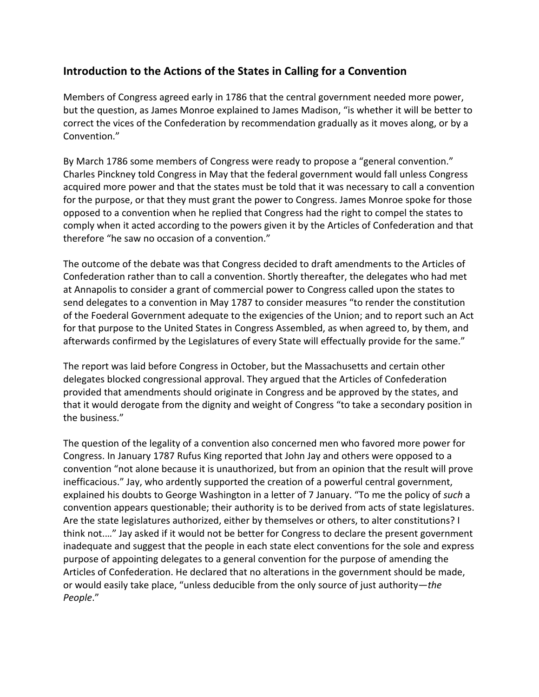## **Introduction to the Actions of the States in Calling for a Convention**

Members of Congress agreed early in 1786 that the central government needed more power, but the question, as James Monroe explained to James Madison, "is whether it will be better to correct the vices of the Confederation by recommendation gradually as it moves along, or by a Convention."

By March 1786 some members of Congress were ready to propose a "general convention." Charles Pinckney told Congress in May that the federal government would fall unless Congress acquired more power and that the states must be told that it was necessary to call a convention for the purpose, or that they must grant the power to Congress. James Monroe spoke for those opposed to a convention when he replied that Congress had the right to compel the states to comply when it acted according to the powers given it by the Articles of Confederation and that therefore "he saw no occasion of a convention."

The outcome of the debate was that Congress decided to draft amendments to the Articles of Confederation rather than to call a convention. Shortly thereafter, the delegates who had met at Annapolis to consider a grant of commercial power to Congress called upon the states to send delegates to a convention in May 1787 to consider measures "to render the constitution of the Foederal Government adequate to the exigencies of the Union; and to report such an Act for that purpose to the United States in Congress Assembled, as when agreed to, by them, and afterwards confirmed by the Legislatures of every State will effectually provide for the same."

The report was laid before Congress in October, but the Massachusetts and certain other delegates blocked congressional approval. They argued that the Articles of Confederation provided that amendments should originate in Congress and be approved by the states, and that it would derogate from the dignity and weight of Congress "to take a secondary position in the business."

The question of the legality of a convention also concerned men who favored more power for Congress. In January 1787 Rufus King reported that John Jay and others were opposed to a convention "not alone because it is unauthorized, but from an opinion that the result will prove inefficacious." Jay, who ardently supported the creation of a powerful central government, explained his doubts to George Washington in a letter of 7 January. "To me the policy of *such* a convention appears questionable; their authority is to be derived from acts of state legislatures. Are the state legislatures authorized, either by themselves or others, to alter constitutions? I think not...." Jay asked if it would not be better for Congress to declare the present government inadequate and suggest that the people in each state elect conventions for the sole and express purpose of appointing delegates to a general convention for the purpose of amending the Articles of Confederation.'He declared that no alterations in the government should be made, or would easily take place, "unless deducible from the only source of just authority—the *People*."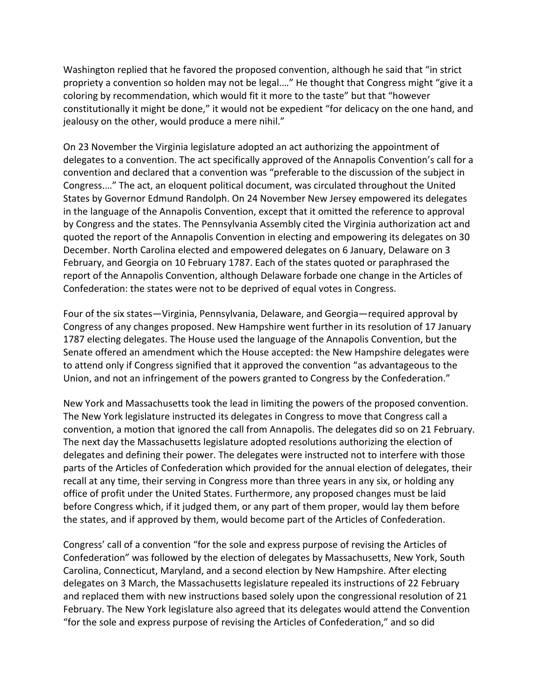Washington replied that he favored the proposed convention, although he said that "in strict" propriety a convention so holden may not be legal...." He thought that Congress might "give it a coloring by recommendation, which would fit it more to the taste" but that "however" constitutionally it might be done," it would not be expedient "for delicacy on the one hand, and jealousy on the other, would produce a mere nihil."

On 23 November the Virginia legislature adopted an act authorizing the appointment of delegates to a convention. The act specifically approved of the Annapolis Convention's call for a convention and declared that a convention was "preferable to the discussion of the subject in Congress...." The act, an eloquent political document, was circulated throughout the United States by Governor Edmund Randolph. On 24 November New Jersey empowered its delegates in the language of the Annapolis Convention, except that it omitted the reference to approval by Congress and the states. The Pennsylvania Assembly cited the Virginia authorization act and quoted the report of the Annapolis Convention in electing and empowering its delegates on 30 December. North Carolina elected and empowered delegates on 6 January, Delaware on 3 February, and Georgia on 10 February 1787. Each of the states quoted or paraphrased the report of the Annapolis Convention, although Delaware forbade one change in the Articles of Confederation: the states were not to be deprived of equal votes in Congress.

Four of the six states—Virginia, Pennsylvania, Delaware, and Georgia—required approval by Congress of any changes proposed. New Hampshire went further in its resolution of 17 January 1787 electing delegates. The House used the language of the Annapolis Convention, but the Senate offered an amendment which the House accepted: the New Hampshire delegates were to attend only if Congress signified that it approved the convention "as advantageous to the Union, and not an infringement of the powers granted to Congress by the Confederation."

New York and Massachusetts took the lead in limiting the powers of the proposed convention. The New York legislature instructed its delegates in Congress to move that Congress call a convention, a motion that ignored the call from Annapolis. The delegates did so on 21 February. The next day the Massachusetts legislature adopted resolutions authorizing the election of delegates and defining their power. The delegates were instructed not to interfere with those parts of the Articles of Confederation which provided for the annual election of delegates, their recall at any time, their serving in Congress more than three years in any six, or holding any office of profit under the United States. Furthermore, any proposed changes must be laid before Congress which, if it judged them, or any part of them proper, would lay them before the states, and if approved by them, would become part of the Articles of Confederation.

Congress' call of a convention "for the sole and express purpose of revising the Articles of Confederation" was followed by the election of delegates by Massachusetts, New York, South Carolina, Connecticut, Maryland, and a second election by New Hampshire. After electing delegates on 3 March, the Massachusetts legislature repealed its instructions of 22 February and replaced them with new instructions based solely upon the congressional resolution of 21 February. The New York legislature also agreed that its delegates would attend the Convention "for the sole and express purpose of revising the Articles of Confederation," and so did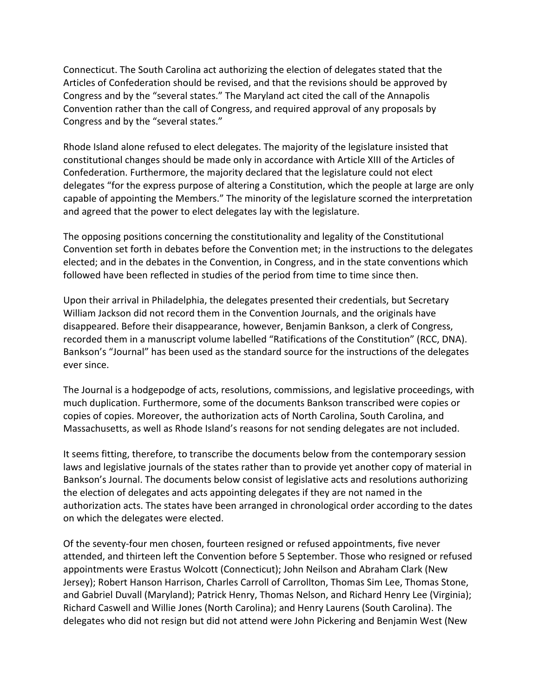Connecticut. The South Carolina act authorizing the election of delegates stated that the Articles of Confederation should be revised, and that the revisions should be approved by Congress and by the "several states." The Maryland act cited the call of the Annapolis Convention rather than the call of Congress, and required approval of any proposals by Congress and by the "several states."

Rhode Island alone refused to elect delegates. The majority of the legislature insisted that constitutional changes should be made only in accordance with Article XIII of the Articles of Confederation. Furthermore, the majority declared that the legislature could not elect delegates "for the express purpose of altering a Constitution, which the people at large are only capable of appointing the Members." The minority of the legislature scorned the interpretation and agreed that the power to elect delegates lay with the legislature.

The opposing positions concerning the constitutionality and legality of the Constitutional Convention set forth in debates before the Convention met; in the instructions to the delegates elected; and in the debates in the Convention, in Congress, and in the state conventions which followed have been reflected in studies of the period from time to time since then.

Upon their arrival in Philadelphia, the delegates presented their credentials, but Secretary William Jackson did not record them in the Convention Journals, and the originals have disappeared. Before their disappearance, however, Benjamin Bankson, a clerk of Congress, recorded them in a manuscript volume labelled "Ratifications of the Constitution" (RCC, DNA). Bankson's "Journal" has been used as the standard source for the instructions of the delegates ever since.

The Journal is a hodgepodge of acts, resolutions, commissions, and legislative proceedings, with much duplication. Furthermore, some of the documents Bankson transcribed were copies or copies of copies. Moreover, the authorization acts of North Carolina, South Carolina, and Massachusetts, as well as Rhode Island's reasons for not sending delegates are not included.

It seems fitting, therefore, to transcribe the documents below from the contemporary session laws and legislative journals of the states rather than to provide yet another copy of material in Bankson's Journal. The documents below consist of legislative acts and resolutions authorizing the election of delegates and acts appointing delegates if they are not named in the authorization acts. The states have been arranged in chronological order according to the dates on which the delegates were elected.

Of the seventy-four men chosen, fourteen resigned or refused appointments, five never attended, and thirteen left the Convention before 5 September. Those who resigned or refused appointments were Erastus Wolcott (Connecticut); John Neilson and Abraham Clark (New Jersey); Robert Hanson Harrison, Charles Carroll of Carrollton, Thomas Sim Lee, Thomas Stone, and Gabriel Duvall (Maryland); Patrick Henry, Thomas Nelson, and Richard Henry Lee (Virginia); Richard Caswell and Willie Jones (North Carolina); and Henry Laurens (South Carolina). The delegates who did not resign but did not attend were John Pickering and Benjamin West (New